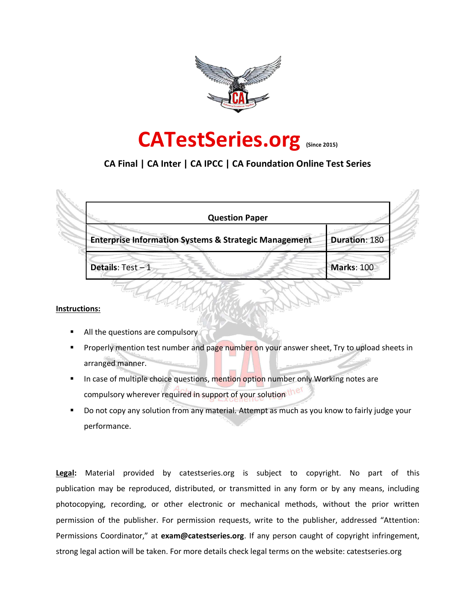



## **CA Final | CA Inter | CA IPCC | CA Foundation Online Test Series**

| <b>Question Paper</b>                                            |                      |
|------------------------------------------------------------------|----------------------|
| <b>Enterprise Information Systems &amp; Strategic Management</b> | <b>Duration: 180</b> |
| Details: Test-1                                                  | <b>Marks: 100</b>    |

#### **Instructions:**

- All the questions are compulsory
- Properly mention test number and page number on your answer sheet, Try to upload sheets in arranged manner.
- In case of multiple choice questions, mention option number only Working notes are compulsory wherever required in support of your solution the
- Do not copy any solution from any material. Attempt as much as you know to fairly judge your performance.

**Legal:** Material provided by catestseries.org is subject to copyright. No part of this publication may be reproduced, distributed, or transmitted in any form or by any means, including photocopying, recording, or other electronic or mechanical methods, without the prior written permission of the publisher. For permission requests, write to the publisher, addressed "Attention: Permissions Coordinator," at **exam@catestseries.org**. If any person caught of copyright infringement, strong legal action will be taken. For more details check legal terms on the website: catestseries.org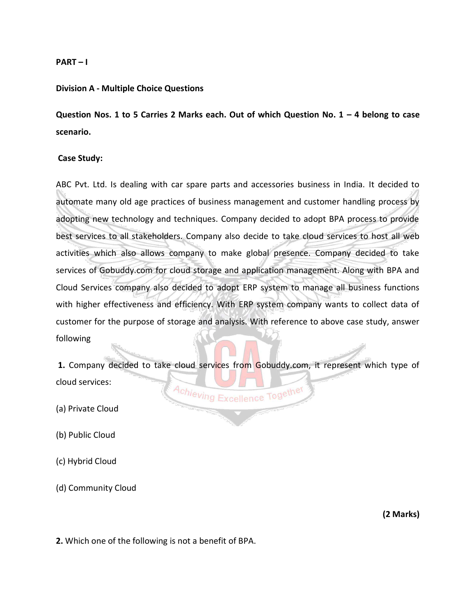#### **PART – I**

#### **Division A - Multiple Choice Questions**

**Question Nos. 1 to 5 Carries 2 Marks each. Out of which Question No. 1 - 4 belong to case scenario.**

#### **Case Study:**

ABC Pvt. Ltd. Is dealing with car spare parts and accessories business in India. It decided to automate many old age practices of business management and customer handling process by adopting new technology and techniques. Company decided to adopt BPA process to provide best services to all stakeholders. Company also decide to take cloud services to host all web activities which also allows company to make global presence. Company decided to take services of Gobuddy.com for cloud storage and application management. Along with BPA and Cloud Services company also decided to adopt ERP system to manage all business functions with higher effectiveness and efficiency. With ERP system company wants to collect data of customer for the purpose of storage and analysis. With reference to above case study, answer following

**1.** Company decided to take cloud services from Gobuddy.com, it represent which type of cloud services: Achieving Excellence Together

(a) Private Cloud

(b) Public Cloud

(c) Hybrid Cloud

(d) Community Cloud

**(2 Marks)** 

**2.** Which one of the following is not a benefit of BPA.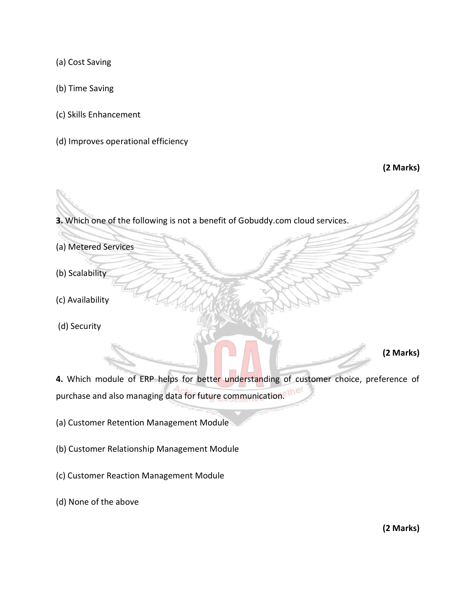(a) Cost Saving

- (b) Time Saving
- (c) Skills Enhancement
- (d) Improves operational efficiency

**(2 Marks)**

**3.** Which one of the following is not a benefit of Gobuddy.com cloud services.

- (a) Metered Services
- (b) Scalability
- (c) Availability
- (d) Security

**(2 Marks)** 

**4.** Which module of ERP helps for better understanding of customer choice, preference of purchase and also managing data for future communication.<sup>ether</sup>

- (a) Customer Retention Management Module
- (b) Customer Relationship Management Module
- (c) Customer Reaction Management Module
- (d) None of the above

**(2 Marks)**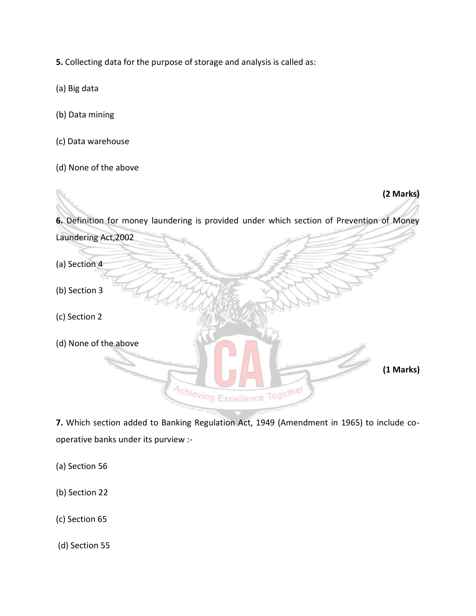**5.** Collecting data for the purpose of storage and analysis is called as:

- (a) Big data
- (b) Data mining
- (c) Data warehouse
- (d) None of the above



**7.** Which section added to Banking Regulation Act, 1949 (Amendment in 1965) to include cooperative banks under its purview :-

- (a) Section 56
- (b) Section 22
- (c) Section 65

(d) Section 55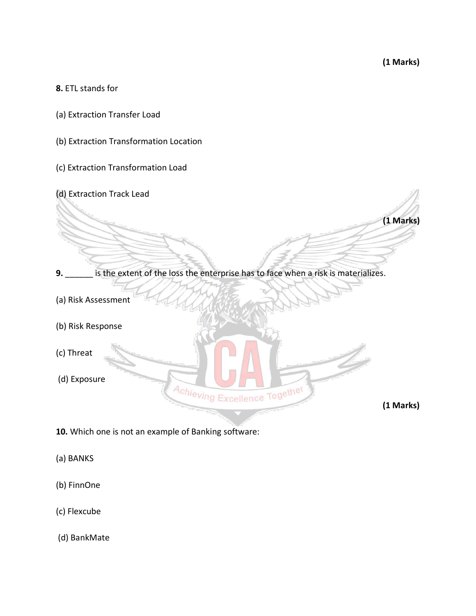**(1 Marks)** 

#### **8.** ETL stands for

- (a) Extraction Transfer Load
- (b) Extraction Transformation Location
- (c) Extraction Transformation Load
- (d) Extraction Track Lead **(1 Marks) 9.** \_\_\_\_\_\_ is the extent of the loss the enterprise has to face when a risk is materializes. (a) Risk Assessment (b) Risk Response (c) Threat (d) Exposure Achieving Excellence Together **(1 Marks)**
- **10.** Which one is not an example of Banking software:
- (a) BANKS
- (b) FinnOne
- (c) Flexcube
- (d) BankMate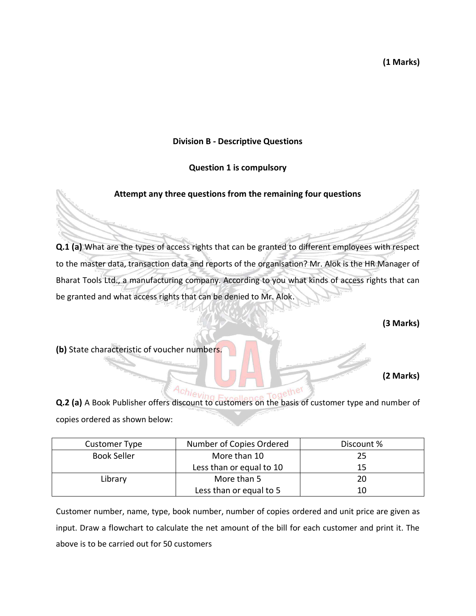**(1 Marks)**

## **Division B - Descriptive Questions**

## **Question 1 is compulsory**

## **Attempt any three questions from the remaining four questions**

**Q.1 (a)** What are the types of access rights that can be granted to different employees with respect to the master data, transaction data and reports of the organisation? Mr. Alok is the HR Manager of Bharat Tools Ltd., a manufacturing company. According to you what kinds of access rights that can be granted and what access rights that can be denied to Mr. Alok.

**(3 Marks)** 

**(b)** State characteristic of voucher numbers.

**(2 Marks)** 

**Q.2 (a)** A Book Publisher offers discount to customers on the basis of customer type and number of copies ordered as shown below:

| Customer Type      | Number of Copies Ordered | Discount % |
|--------------------|--------------------------|------------|
| <b>Book Seller</b> | More than 10             | 25         |
|                    | Less than or equal to 10 | 15         |
| Library            | More than 5              | 20         |
|                    | Less than or equal to 5  | 10         |

Customer number, name, type, book number, number of copies ordered and unit price are given as input. Draw a flowchart to calculate the net amount of the bill for each customer and print it. The above is to be carried out for 50 customers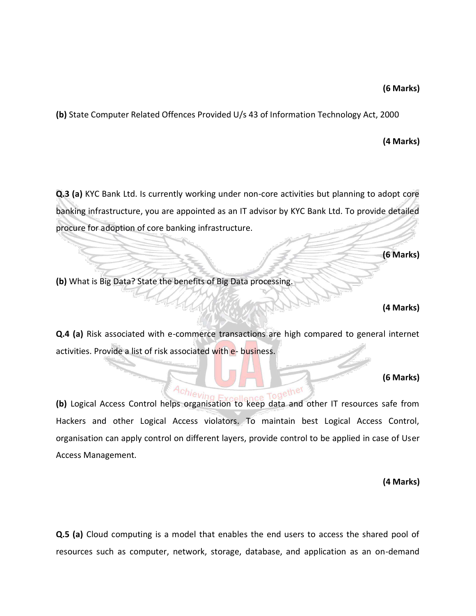#### **(6 Marks)**

**(b)** State Computer Related Offences Provided U/s 43 of Information Technology Act, 2000

## **(4 Marks)**

**Q.3 (a)** KYC Bank Ltd. Is currently working under non-core activities but planning to adopt core banking infrastructure, you are appointed as an IT advisor by KYC Bank Ltd. To provide detailed procure for adoption of core banking infrastructure.

**(6 Marks)** 

**(b)** What is Big Data? State the benefits of Big Data processing.

## **(4 Marks)**

**Q.4 (a)** Risk associated with e-commerce transactions are high compared to general internet activities. Provide a list of risk associated with e- business.

## **(6 Marks)**

**(b)** Logical Access Control helps organisation to keep data and other IT resources safe from ngether Hackers and other Logical Access violators. To maintain best Logical Access Control, organisation can apply control on different layers, provide control to be applied in case of User Access Management.

**(4 Marks)**

**Q.5 (a)** Cloud computing is a model that enables the end users to access the shared pool of resources such as computer, network, storage, database, and application as an on-demand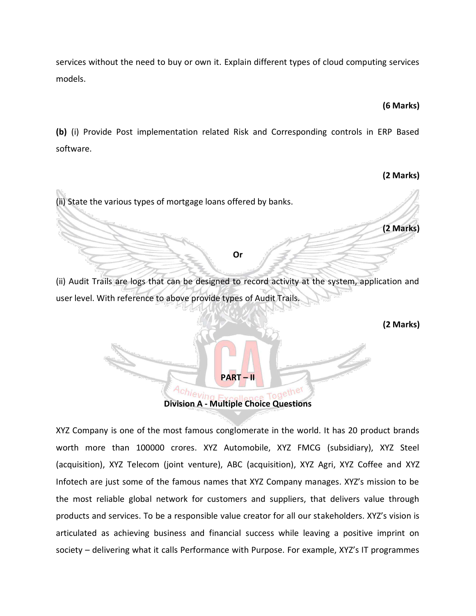services without the need to buy or own it. Explain different types of cloud computing services models.

## **(6 Marks)**

**(2 Marks)** 

**(b)** (i) Provide Post implementation related Risk and Corresponding controls in ERP Based software.

# (ii) State the various types of mortgage loans offered by banks. **(2 Marks) Or** (ii) Audit Trails are logs that can be designed to record activity at the system, application and user level. With reference to above provide types of Audit Trails. **(2 Marks) PART – II Example Together**<br> **Division A - Multiple Choice Questions**

XYZ Company is one of the most famous conglomerate in the world. It has 20 product brands worth more than 100000 crores. XYZ Automobile, XYZ FMCG (subsidiary), XYZ Steel (acquisition), XYZ Telecom (joint venture), ABC (acquisition), XYZ Agri, XYZ Coffee and XYZ Infotech are just some of the famous names that XYZ Company manages. XYZ's mission to be the most reliable global network for customers and suppliers, that delivers value through products and services. To be a responsible value creator for all our stakeholders. XYZ's vision is articulated as achieving business and financial success while leaving a positive imprint on society – delivering what it calls Performance with Purpose. For example, XYZ's IT programmes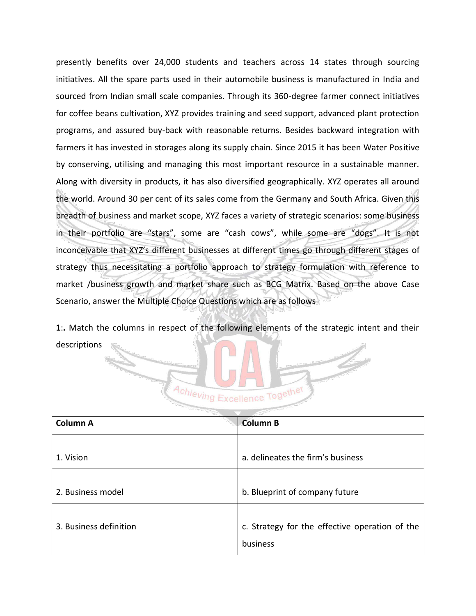presently benefits over 24,000 students and teachers across 14 states through sourcing initiatives. All the spare parts used in their automobile business is manufactured in India and sourced from Indian small scale companies. Through its 360-degree farmer connect initiatives for coffee beans cultivation, XYZ provides training and seed support, advanced plant protection programs, and assured buy-back with reasonable returns. Besides backward integration with farmers it has invested in storages along its supply chain. Since 2015 it has been Water Positive by conserving, utilising and managing this most important resource in a sustainable manner. Along with diversity in products, it has also diversified geographically. XYZ operates all around the world. Around 30 per cent of its sales come from the Germany and South Africa. Given this breadth of business and market scope, XYZ faces a variety of strategic scenarios: some business in their portfolio are "stars", some are "cash cows", while some are "dogs". It is not inconceivable that XYZ's different businesses at different times go through different stages of strategy thus necessitating a portfolio approach to strategy formulation with reference to market /business growth and market share such as BCG Matrix. Based on the above Case Scenario, answer the Multiple Choice Questions which are as follows

**1**:**.** Match the columns in respect of the following elements of the strategic intent and their descriptions



| <b>Column A</b>        | <b>Column B</b>                                            |
|------------------------|------------------------------------------------------------|
| 1. Vision              | a. delineates the firm's business                          |
| 2. Business model      | b. Blueprint of company future                             |
| 3. Business definition | c. Strategy for the effective operation of the<br>business |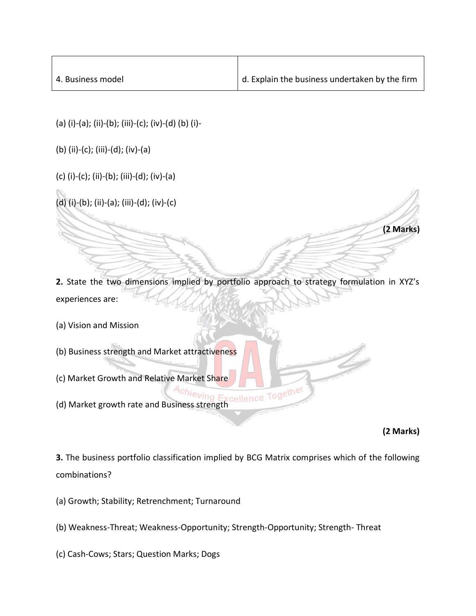| 4. Business model | $\vert$ d. Explain the business undertaken by the firm |
|-------------------|--------------------------------------------------------|

- (a) (i)-(a); (ii)-(b); (iii)-(c); (iv)-(d) (b) (i)-
- (b) (ii)-(c); (iii)-(d); (iv)-(a)
- (c) (i)-(c); (ii)-(b); (iii)-(d); (iv)-(a)
- (d) (i)-(b); (ii)-(a); (iii)-(d); (iv)-(c)

**2.** State the two dimensions implied by portfolio approach to strategy formulation in XYZ's experiences are:

- (a) Vision and Mission
- (b) Business strength and Market attractiveness
- (c) Market Growth and Relative Market Share
- (d) Market growth rate and Business strength

**(2 Marks)** 

**(2 Marks)**

**3.** The business portfolio classification implied by BCG Matrix comprises which of the following combinations?

- (a) Growth; Stability; Retrenchment; Turnaround
- (b) Weakness-Threat; Weakness-Opportunity; Strength-Opportunity; Strength- Threat
- (c) Cash-Cows; Stars; Question Marks; Dogs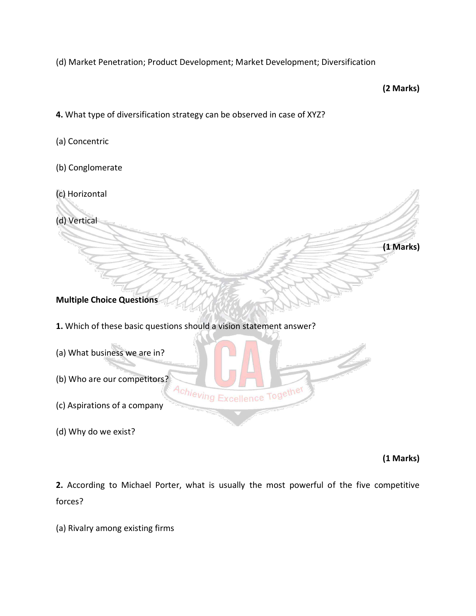(d) Market Penetration; Product Development; Market Development; Diversification

**(2 Marks)** 

**(1 Marks)**

- **4.** What type of diversification strategy can be observed in case of XYZ?
- (a) Concentric
- (b) Conglomerate
- (c) Horizontal

(d) Vertical

**Multiple Choice Questions** 

**1.** Which of these basic questions should a vision statement answer?

| (a) What business we are in? |            |
|------------------------------|------------|
| (b) Who are our competitors? |            |
| (c) Aspirations of a company | Excellence |

(d) Why do we exist?

**(1 Marks)** 

**2.** According to Michael Porter, what is usually the most powerful of the five competitive forces?

(a) Rivalry among existing firms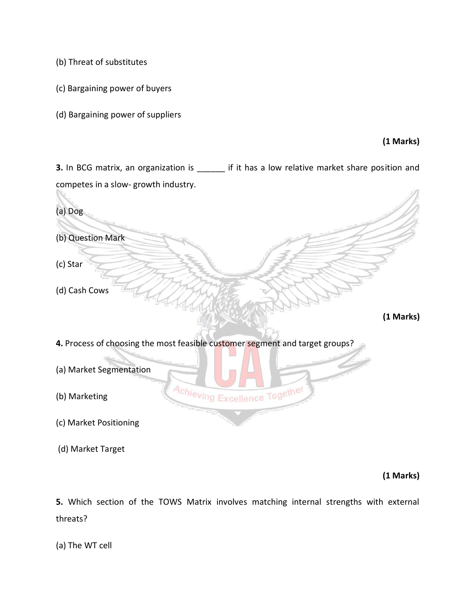(b) Threat of substitutes

(c) Bargaining power of buyers

(d) Bargaining power of suppliers

## **(1 Marks)**

**3.** In BCG matrix, an organization is \_\_\_\_\_\_ if it has a low relative market share position and competes in a slow- growth industry.  $\sqrt{2}$ 

| (a) Dog                                                                      |
|------------------------------------------------------------------------------|
| (b) Question Mark                                                            |
| (c) Star                                                                     |
| (d) Cash Cows                                                                |
| (1 Marks)                                                                    |
| 4. Process of choosing the most feasible customer segment and target groups? |
| (a) Market Segmentation                                                      |
| Achieving Excellence Together<br>(b) Marketing                               |
| (c) Market Positioning                                                       |
| (d) Market Target                                                            |

**(1 Marks)** 

**5.** Which section of the TOWS Matrix involves matching internal strengths with external threats?

(a) The WT cell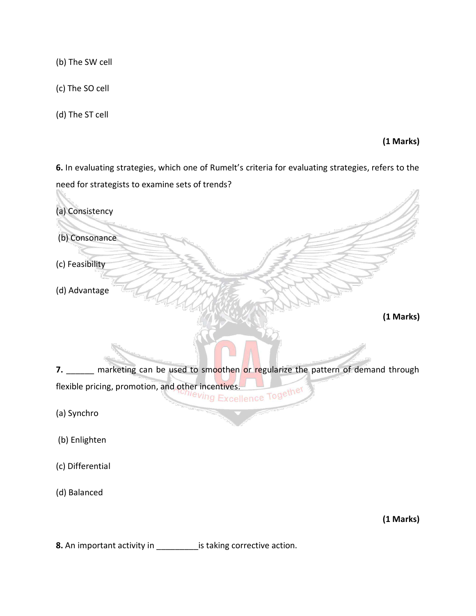(b) The SW cell

(c) The SO cell

(d) The ST cell

**(1 Marks)** 

**6.** In evaluating strategies, which one of Rumelt's criteria for evaluating strategies, refers to the need for strategists to examine sets of trends?



**8.** An important activity in \_\_\_\_\_\_\_\_\_is taking corrective action.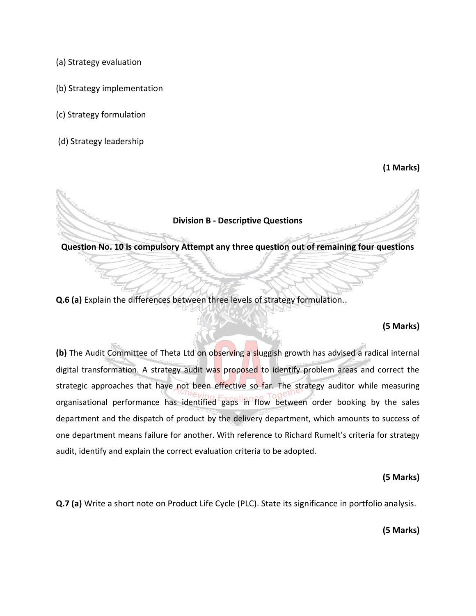(a) Strategy evaluation

- (b) Strategy implementation
- (c) Strategy formulation
- (d) Strategy leadership

**(1 Marks)**

#### **Division B - Descriptive Questions**

**Question No. 10 is compulsory Attempt any three question out of remaining four questions**

**Q.6 (a)** Explain the differences between three levels of strategy formulation..

#### **(5 Marks)**

**(b)** The Audit Committee of Theta Ltd on observing a sluggish growth has advised a radical internal digital transformation. A strategy audit was proposed to identify problem areas and correct the strategic approaches that have not been effective so far. The strategy auditor while measuring organisational performance has identified gaps in flow between order booking by the sales department and the dispatch of product by the delivery department, which amounts to success of one department means failure for another. With reference to Richard Rumelt's criteria for strategy audit, identify and explain the correct evaluation criteria to be adopted.

#### **(5 Marks)**

**Q.7 (a)** Write a short note on Product Life Cycle (PLC). State its significance in portfolio analysis.

**(5 Marks)**